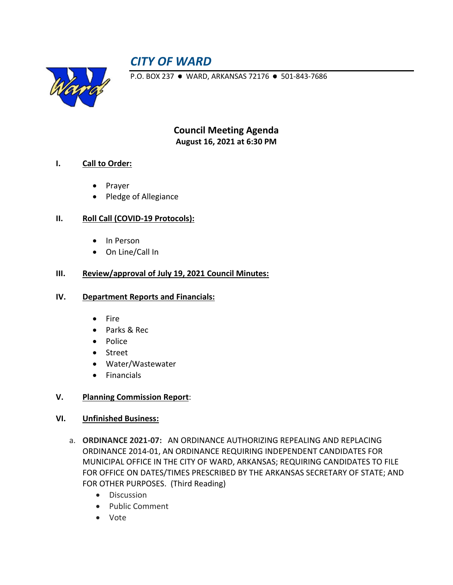# *CITY OF WARD*



P.O. BOX 237 · WARD, ARKANSAS 72176 · 501-843-7686

**Council Meeting Agenda August 16, 2021 at 6:30 PM**

# **I. Call to Order:**

- Prayer
- Pledge of Allegiance

# **II. Roll Call (COVID-19 Protocols):**

- In Person
- On Line/Call In

# **III. Review/approval of July 19, 2021 Council Minutes:**

#### **IV. Department Reports and Financials:**

- Fire
- Parks & Rec
- Police
- Street
- Water/Wastewater
- Financials

#### **V. Planning Commission Report**:

#### **VI. Unfinished Business:**

- a. **ORDINANCE 2021-07:** AN ORDINANCE AUTHORIZING REPEALING AND REPLACING ORDINANCE 2014-01, AN ORDINANCE REQUIRING INDEPENDENT CANDIDATES FOR MUNICIPAL OFFICE IN THE CITY OF WARD, ARKANSAS; REQUIRING CANDIDATES TO FILE FOR OFFICE ON DATES/TIMES PRESCRIBED BY THE ARKANSAS SECRETARY OF STATE; AND FOR OTHER PURPOSES. (Third Reading)
	- Discussion
	- Public Comment
	- Vote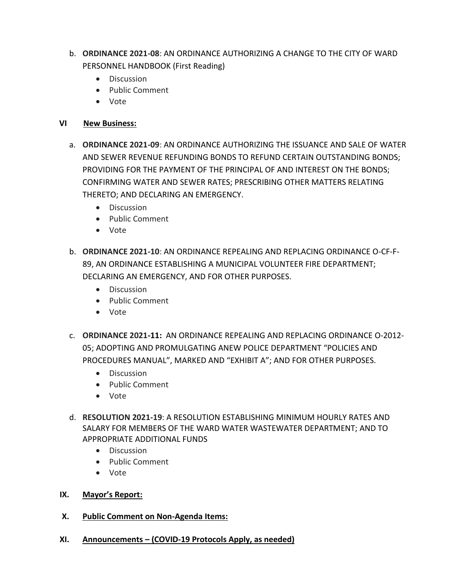- b. **ORDINANCE 2021-08**: AN ORDINANCE AUTHORIZING A CHANGE TO THE CITY OF WARD PERSONNEL HANDBOOK (First Reading)
	- Discussion
	- Public Comment
	- Vote

# **VI New Business:**

- a. **ORDINANCE 2021-09**: AN ORDINANCE AUTHORIZING THE ISSUANCE AND SALE OF WATER AND SEWER REVENUE REFUNDING BONDS TO REFUND CERTAIN OUTSTANDING BONDS; PROVIDING FOR THE PAYMENT OF THE PRINCIPAL OF AND INTEREST ON THE BONDS; CONFIRMING WATER AND SEWER RATES; PRESCRIBING OTHER MATTERS RELATING THERETO; AND DECLARING AN EMERGENCY.
	- Discussion
	- Public Comment
	- Vote
- b. **ORDINANCE 2021-10**: AN ORDINANCE REPEALING AND REPLACING ORDINANCE O-CF-F-89, AN ORDINANCE ESTABLISHING A MUNICIPAL VOLUNTEER FIRE DEPARTMENT; DECLARING AN EMERGENCY, AND FOR OTHER PURPOSES.
	- Discussion
	- Public Comment
	- Vote
- c. **ORDINANCE 2021-11:** AN ORDINANCE REPEALING AND REPLACING ORDINANCE O-2012- 05; ADOPTING AND PROMULGATING ANEW POLICE DEPARTMENT "POLICIES AND PROCEDURES MANUAL", MARKED AND "EXHIBIT A"; AND FOR OTHER PURPOSES.
	- Discussion
	- Public Comment
	- Vote
- d. **RESOLUTION 2021-19**: A RESOLUTION ESTABLISHING MINIMUM HOURLY RATES AND SALARY FOR MEMBERS OF THE WARD WATER WASTEWATER DEPARTMENT; AND TO APPROPRIATE ADDITIONAL FUNDS
	- Discussion
	- Public Comment
	- Vote
- **IX. Mayor's Report:**
- **X. Public Comment on Non-Agenda Items:**
- **XI. Announcements – (COVID-19 Protocols Apply, as needed)**